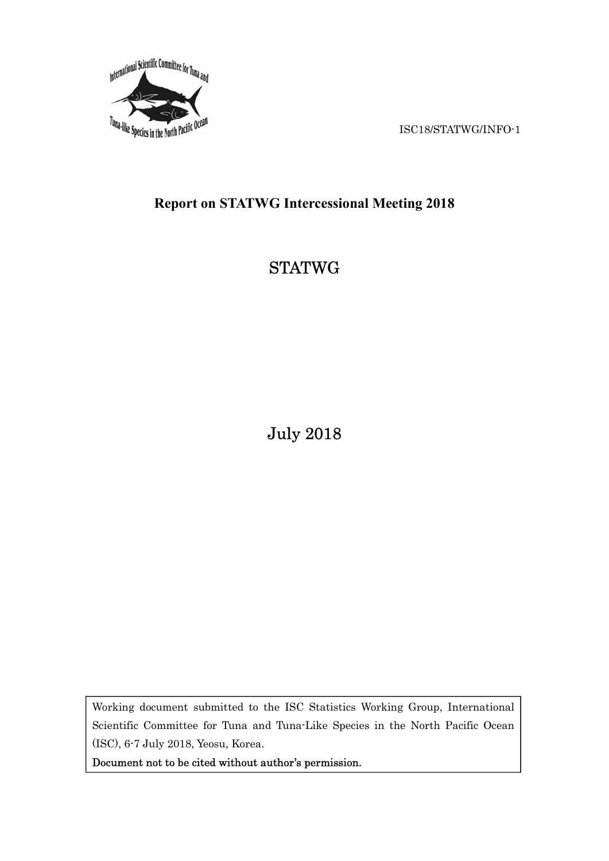

# Report on STATWG Intercessional Meeting 2018

# **STATWG**

July 2018

Working document submitted to the ISC Statistics Working Group, International Scientific Committee for Tuna and Tuna-Like Species in the North Pacific Ocean (ISC), 6-7 July 2018, Yeosu, Korea.

Document not to be cited without author's permission.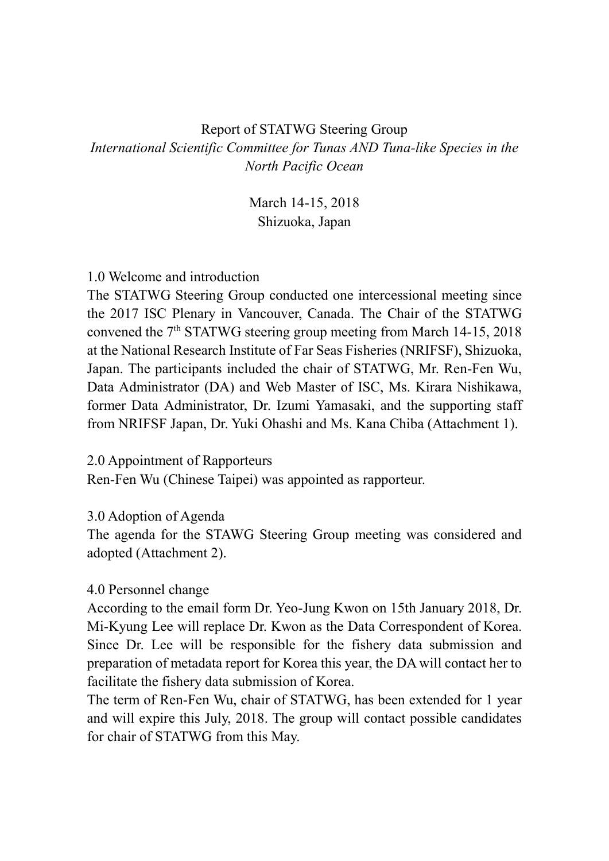## Report of STATWG Steering Group International Scientific Committee for Tunas AND Tuna-like Species in the North Pacific Ocean

March 14-15, 2018 Shizuoka, Japan

#### 1.0 Welcome and introduction

The STATWG Steering Group conducted one intercessional meeting since the 2017 ISC Plenary in Vancouver, Canada. The Chair of the STATWG convened the  $7<sup>th</sup> STATWG$  steering group meeting from March 14-15, 2018 at the National Research Institute of Far Seas Fisheries (NRIFSF), Shizuoka, Japan. The participants included the chair of STATWG, Mr. Ren-Fen Wu, Data Administrator (DA) and Web Master of ISC, Ms. Kirara Nishikawa, former Data Administrator, Dr. Izumi Yamasaki, and the supporting staff from NRIFSF Japan, Dr. Yuki Ohashi and Ms. Kana Chiba (Attachment 1).

2.0 Appointment of Rapporteurs

Ren-Fen Wu (Chinese Taipei) was appointed as rapporteur.

#### 3.0 Adoption of Agenda

The agenda for the STAWG Steering Group meeting was considered and adopted (Attachment 2).

#### 4.0 Personnel change

According to the email form Dr. Yeo-Jung Kwon on 15th January 2018, Dr. Mi-Kyung Lee will replace Dr. Kwon as the Data Correspondent of Korea. Since Dr. Lee will be responsible for the fishery data submission and preparation of metadata report for Korea this year, the DA will contact her to facilitate the fishery data submission of Korea.

The term of Ren-Fen Wu, chair of STATWG, has been extended for 1 year and will expire this July, 2018. The group will contact possible candidates for chair of STATWG from this May.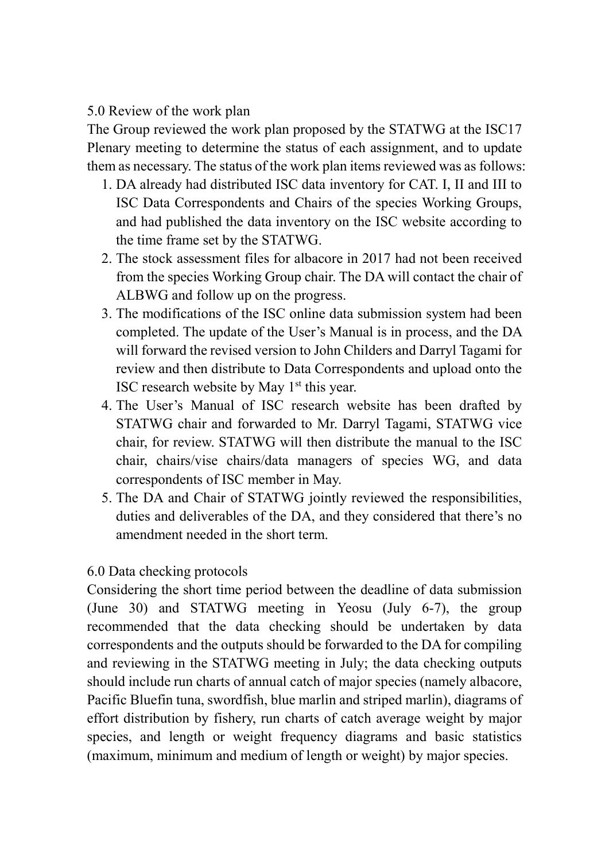5.0 Review of the work plan

The Group reviewed the work plan proposed by the STATWG at the ISC17 Plenary meeting to determine the status of each assignment, and to update them as necessary. The status of the work plan items reviewed was as follows:

- 1. DA already had distributed ISC data inventory for CAT. I, II and III to ISC Data Correspondents and Chairs of the species Working Groups, and had published the data inventory on the ISC website according to the time frame set by the STATWG.
- 2. The stock assessment files for albacore in 2017 had not been received from the species Working Group chair. The DA will contact the chair of ALBWG and follow up on the progress.
- 3. The modifications of the ISC online data submission system had been completed. The update of the User's Manual is in process, and the DA will forward the revised version to John Childers and Darryl Tagami for review and then distribute to Data Correspondents and upload onto the ISC research website by May  $1<sup>st</sup>$  this year.
- 4. The User's Manual of ISC research website has been drafted by STATWG chair and forwarded to Mr. Darryl Tagami, STATWG vice chair, for review. STATWG will then distribute the manual to the ISC chair, chairs/vise chairs/data managers of species WG, and data correspondents of ISC member in May.
- 5. The DA and Chair of STATWG jointly reviewed the responsibilities, duties and deliverables of the DA, and they considered that there's no amendment needed in the short term.

## 6.0 Data checking protocols

Considering the short time period between the deadline of data submission (June 30) and STATWG meeting in Yeosu (July 6-7), the group recommended that the data checking should be undertaken by data correspondents and the outputs should be forwarded to the DA for compiling and reviewing in the STATWG meeting in July; the data checking outputs should include run charts of annual catch of major species (namely albacore, Pacific Bluefin tuna, swordfish, blue marlin and striped marlin), diagrams of effort distribution by fishery, run charts of catch average weight by major species, and length or weight frequency diagrams and basic statistics (maximum, minimum and medium of length or weight) by major species.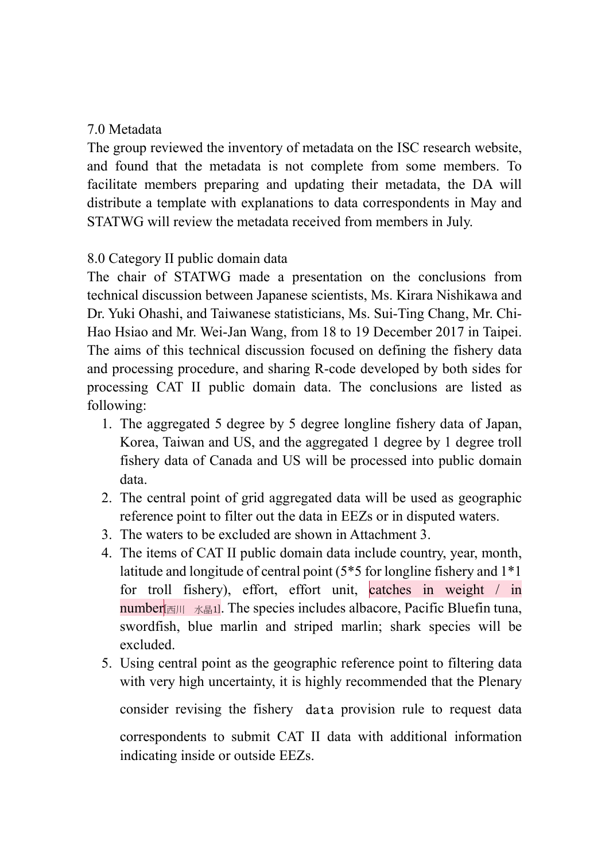#### 7.0 Metadata

The group reviewed the inventory of metadata on the ISC research website, and found that the metadata is not complete from some members. To facilitate members preparing and updating their metadata, the DA will distribute a template with explanations to data correspondents in May and STATWG will review the metadata received from members in July.

## 8.0 Category II public domain data

The chair of STATWG made a presentation on the conclusions from technical discussion between Japanese scientists, Ms. Kirara Nishikawa and Dr. Yuki Ohashi, and Taiwanese statisticians, Ms. Sui-Ting Chang, Mr. Chi-Hao Hsiao and Mr. Wei-Jan Wang, from 18 to 19 December 2017 in Taipei. The aims of this technical discussion focused on defining the fishery data and processing procedure, and sharing R-code developed by both sides for processing CAT II public domain data. The conclusions are listed as following:

- 1. The aggregated 5 degree by 5 degree longline fishery data of Japan, Korea, Taiwan and US, and the aggregated 1 degree by 1 degree troll fishery data of Canada and US will be processed into public domain data.
- 2. The central point of grid aggregated data will be used as geographic reference point to filter out the data in EEZs or in disputed waters.
- 3. The waters to be excluded are shown in Attachment 3.
- 4. The items of CAT II public domain data include country, year, month, latitude and longitude of central point (5\*5 for longline fishery and 1\*1 for troll fishery), effort, effort unit, catches in weight / in number $\mathbb{E}[\mathbb{E} \mathbb{E} \mathbb{E} \mathbb{E} \mathbb{E} \mathbb{E} \mathbb{E}]$ . The species includes albacore, Pacific Bluefin tuna, swordfish, blue marlin and striped marlin; shark species will be excluded.
- 5. Using central point as the geographic reference point to filtering data with very high uncertainty, it is highly recommended that the Plenary consider revising the fishery data provision rule to request data correspondents to submit CAT II data with additional information indicating inside or outside EEZs.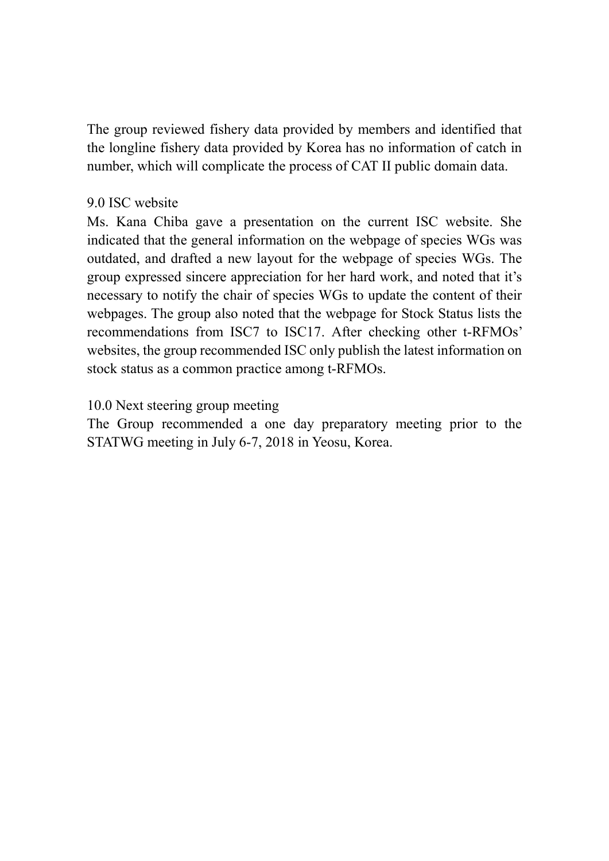The group reviewed fishery data provided by members and identified that the longline fishery data provided by Korea has no information of catch in number, which will complicate the process of CAT II public domain data.

#### 9.0 ISC website

Ms. Kana Chiba gave a presentation on the current ISC website. She indicated that the general information on the webpage of species WGs was outdated, and drafted a new layout for the webpage of species WGs. The group expressed sincere appreciation for her hard work, and noted that it's necessary to notify the chair of species WGs to update the content of their webpages. The group also noted that the webpage for Stock Status lists the recommendations from ISC7 to ISC17. After checking other t-RFMOs' websites, the group recommended ISC only publish the latest information on stock status as a common practice among t-RFMOs.

#### 10.0 Next steering group meeting

The Group recommended a one day preparatory meeting prior to the STATWG meeting in July 6-7, 2018 in Yeosu, Korea.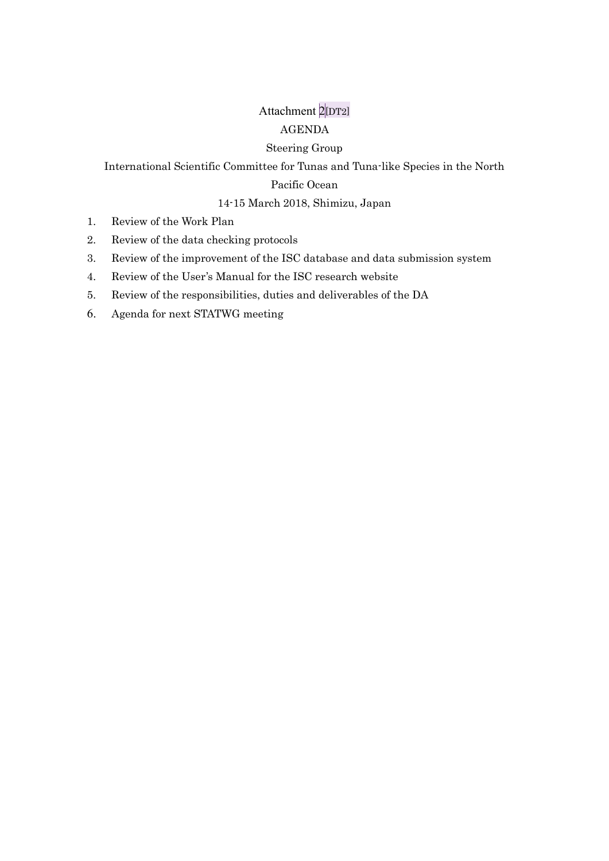# Attachment 2[DT2] AGENDA

#### Steering Group

International Scientific Committee for Tunas and Tuna-like Species in the North

## Pacific Ocean

#### 14-15 March 2018, Shimizu, Japan

- 1. Review of the Work Plan
- 2. Review of the data checking protocols
- 3. Review of the improvement of the ISC database and data submission system
- 4. Review of the User's Manual for the ISC research website
- 5. Review of the responsibilities, duties and deliverables of the DA
- 6. Agenda for next STATWG meeting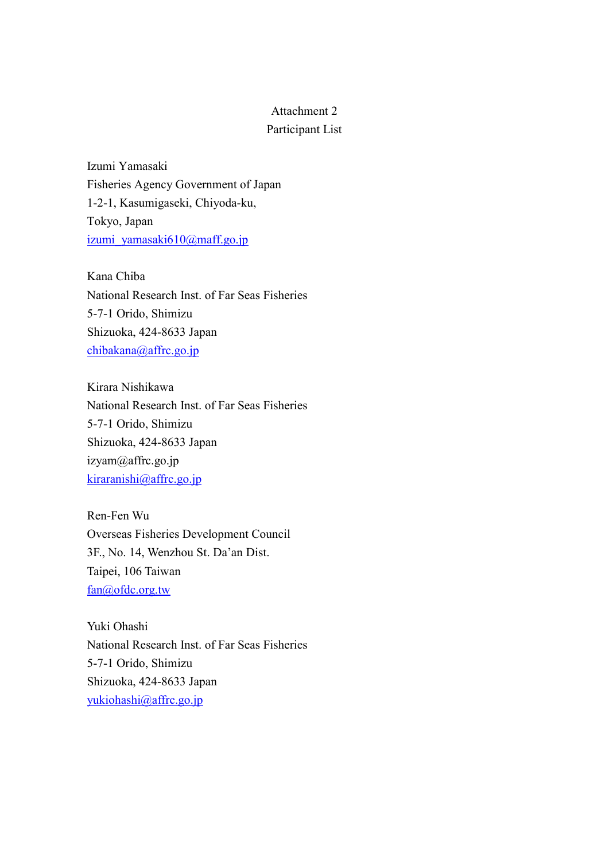#### Attachment 2 Participant List

Izumi Yamasaki Fisheries Agency Government of Japan 1-2-1, Kasumigaseki, Chiyoda-ku, Tokyo, Japan izumi\_yamasaki610@maff.go.jp

Kana Chiba National Research Inst. of Far Seas Fisheries 5-7-1 Orido, Shimizu Shizuoka, 424-8633 Japan chibakana@affrc.go.jp

Kirara Nishikawa National Research Inst. of Far Seas Fisheries 5-7-1 Orido, Shimizu Shizuoka, 424-8633 Japan izyam@affrc.go.jp kiraranishi@affrc.go.jp

Ren-Fen Wu Overseas Fisheries Development Council 3F., No. 14, Wenzhou St. Da'an Dist. Taipei, 106 Taiwan fan@ofdc.org.tw

Yuki Ohashi National Research Inst. of Far Seas Fisheries 5-7-1 Orido, Shimizu Shizuoka, 424-8633 Japan yukiohashi@affrc.go.jp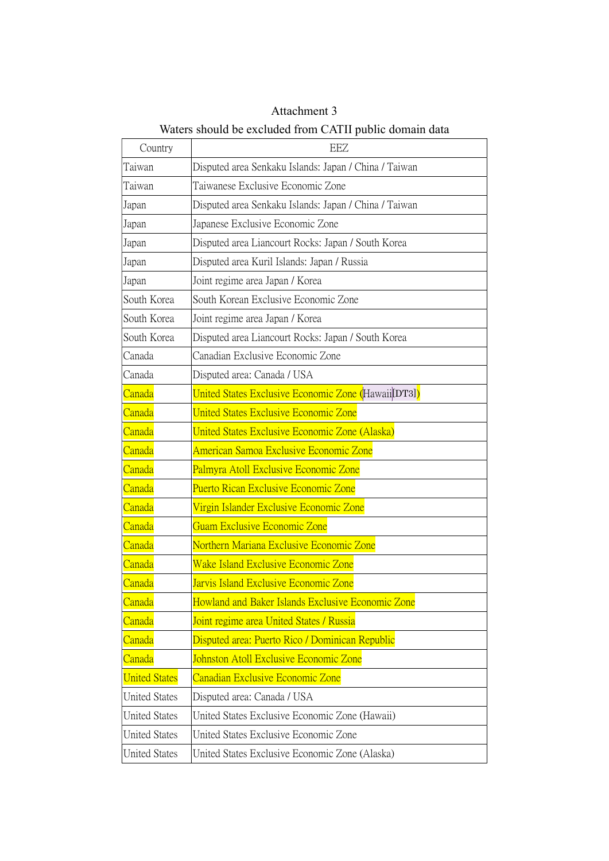| Country              | EEZ                                                         |
|----------------------|-------------------------------------------------------------|
| Taiwan               | Disputed area Senkaku Islands: Japan / China / Taiwan       |
| Taiwan               | Taiwanese Exclusive Economic Zone                           |
| Japan                | Disputed area Senkaku Islands: Japan / China / Taiwan       |
| Japan                | Japanese Exclusive Economic Zone                            |
| Japan                | Disputed area Liancourt Rocks: Japan / South Korea          |
| Japan                | Disputed area Kuril Islands: Japan / Russia                 |
| Japan                | Joint regime area Japan / Korea                             |
| South Korea          | South Korean Exclusive Economic Zone                        |
| South Korea          | Joint regime area Japan / Korea                             |
| South Korea          | Disputed area Liancourt Rocks: Japan / South Korea          |
| Canada               | Canadian Exclusive Economic Zone                            |
| Canada               | Disputed area: Canada / USA                                 |
| Canada               | <b>United States Exclusive Economic Zone (Hawaii</b> [DT3]) |
| Canada               | <b>United States Exclusive Economic Zone</b>                |
| Canada               | United States Exclusive Economic Zone (Alaska)              |
| Canada               | American Samoa Exclusive Economic Zone                      |
| Canada               | Palmyra Atoll Exclusive Economic Zone                       |
| <u>Canada</u>        | Puerto Rican Exclusive Economic Zone                        |
| Canada               | Virgin Islander Exclusive Economic Zone                     |
| Canada               | <b>Guam Exclusive Economic Zone</b>                         |
| Canada               | Northern Mariana Exclusive Economic Zone                    |
| Canada               | <b>Wake Island Exclusive Economic Zone</b>                  |
| Canada               | Jarvis Island Exclusive Economic Zone                       |
| Canada               | Howland and Baker Islands Exclusive Economic Zone           |
| Canada               | Joint regime area United States / Russia                    |
| Canada               | Disputed area: Puerto Rico / Dominican Republic             |
| Canada               | Johnston Atoll Exclusive Economic Zone                      |
| <b>United States</b> | <b>Canadian Exclusive Economic Zone</b>                     |
| <b>United States</b> | Disputed area: Canada / USA                                 |
| <b>United States</b> | United States Exclusive Economic Zone (Hawaii)              |
| <b>United States</b> | United States Exclusive Economic Zone                       |
| <b>United States</b> | United States Exclusive Economic Zone (Alaska)              |

Attachment 3 Waters should be excluded from CATII public domain data